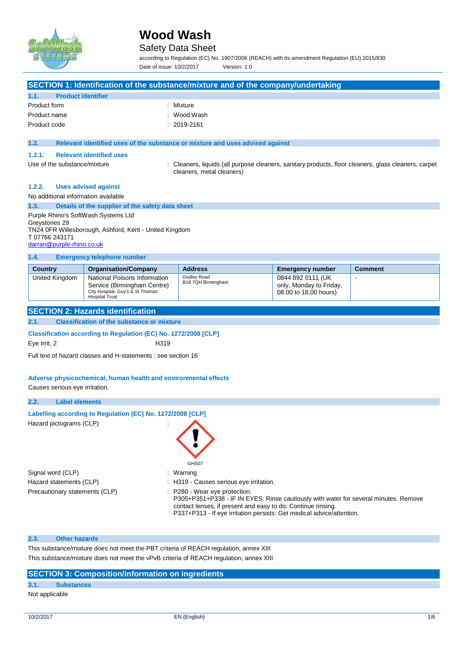

### Safety Data Sheet

according to Regulation (EC) No. 1907/2006 (REACH) with its amendment Regulation (EU) 2015/830 Date of issue: 10/2/2017 Version: 1.0

|                                                                                                   |                              |                                                                                                                           | SECTION 1: Identification of the substance/mixture and of the company/undertaking                                                 |                                                                       |                |  |
|---------------------------------------------------------------------------------------------------|------------------------------|---------------------------------------------------------------------------------------------------------------------------|-----------------------------------------------------------------------------------------------------------------------------------|-----------------------------------------------------------------------|----------------|--|
| 1.1.                                                                                              | <b>Product identifier</b>    |                                                                                                                           |                                                                                                                                   |                                                                       |                |  |
|                                                                                                   | Product form<br>: Mixture    |                                                                                                                           |                                                                                                                                   |                                                                       |                |  |
| Product name                                                                                      |                              |                                                                                                                           | Wood Wash                                                                                                                         |                                                                       |                |  |
| Product code                                                                                      |                              |                                                                                                                           | 2019-2161                                                                                                                         |                                                                       |                |  |
|                                                                                                   |                              |                                                                                                                           |                                                                                                                                   |                                                                       |                |  |
| 1.2.                                                                                              |                              |                                                                                                                           | Relevant identified uses of the substance or mixture and uses advised against                                                     |                                                                       |                |  |
| 1.2.1.                                                                                            |                              | <b>Relevant identified uses</b>                                                                                           |                                                                                                                                   |                                                                       |                |  |
|                                                                                                   | Use of the substance/mixture |                                                                                                                           | : Cleaners, liquids (all purpose cleaners, sanitary products, floor cleaners, glass cleaners, carpet<br>cleaners, metal cleaners) |                                                                       |                |  |
| 1.2.2.                                                                                            |                              | <b>Uses advised against</b>                                                                                               |                                                                                                                                   |                                                                       |                |  |
|                                                                                                   |                              | No additional information available                                                                                       |                                                                                                                                   |                                                                       |                |  |
| 1.3.                                                                                              |                              | Details of the supplier of the safety data sheet                                                                          |                                                                                                                                   |                                                                       |                |  |
|                                                                                                   |                              | Purple Rhino's SoftWash Systems Ltd                                                                                       |                                                                                                                                   |                                                                       |                |  |
| Greystones 29<br>T 07766 243171                                                                   | darran@purple-rhino.co.uk    | TN24 OFR Willesborough, Ashford, Kent - United Kingdom                                                                    |                                                                                                                                   |                                                                       |                |  |
| 1.4.                                                                                              |                              | <b>Emergency telephone number</b>                                                                                         |                                                                                                                                   |                                                                       |                |  |
| <b>Country</b>                                                                                    |                              | <b>Organisation/Company</b>                                                                                               | <b>Address</b>                                                                                                                    | <b>Emergency number</b>                                               | <b>Comment</b> |  |
|                                                                                                   | United Kingdom               | National Poisons Information<br>Service (Birmingham Centre)<br>City Hospital, Guy's & St Thomas'<br><b>Hospital Trust</b> | Dudley Road<br>B18 7QH Birmingham                                                                                                 | 0844 892 0111 (UK<br>only, Monday to Friday,<br>08.00 to 18.00 hours) |                |  |
|                                                                                                   |                              | <b>SECTION 2: Hazards identification</b>                                                                                  |                                                                                                                                   |                                                                       |                |  |
| 2.1.                                                                                              |                              | <b>Classification of the substance or mixture</b>                                                                         |                                                                                                                                   |                                                                       |                |  |
|                                                                                                   |                              | Classification according to Regulation (EC) No. 1272/2008 [CLP]                                                           |                                                                                                                                   |                                                                       |                |  |
| Eye Irrit. 2                                                                                      |                              | H319                                                                                                                      |                                                                                                                                   |                                                                       |                |  |
|                                                                                                   |                              |                                                                                                                           |                                                                                                                                   |                                                                       |                |  |
|                                                                                                   |                              | Full text of hazard classes and H-statements : see section 16                                                             |                                                                                                                                   |                                                                       |                |  |
| Adverse physicochemical, human health and environmental effects<br>Causes serious eye irritation. |                              |                                                                                                                           |                                                                                                                                   |                                                                       |                |  |
|                                                                                                   |                              |                                                                                                                           |                                                                                                                                   |                                                                       |                |  |
| 2.2.                                                                                              | <b>Label elements</b>        |                                                                                                                           |                                                                                                                                   |                                                                       |                |  |
|                                                                                                   |                              |                                                                                                                           |                                                                                                                                   |                                                                       |                |  |
|                                                                                                   | Hazard pictograms (CLP)      | Labelling according to Regulation (EC) No. 1272/2008 [CLP]                                                                | GHS07                                                                                                                             |                                                                       |                |  |
|                                                                                                   | Signal word (CLP)            |                                                                                                                           | : Warning                                                                                                                         |                                                                       |                |  |

Precautionary statements (CLP) : P280 - Wear eye protection.

- -
	- P305+P351+P338 IF IN EYES: Rinse cautiously with water for several minutes. Remove contact lenses, if present and easy to do. Continue rinsing. P337+P313 - If eye irritation persists: Get medical advice/attention.

#### **2.3. Other hazards**

This substance/mixture does not meet the PBT criteria of REACH regulation, annex XIII This substance/mixture does not meet the vPvB criteria of REACH regulation, annex XIII

### **SECTION 3: Composition/information on ingredients**

### **3.1. Substances**

#### Not applicable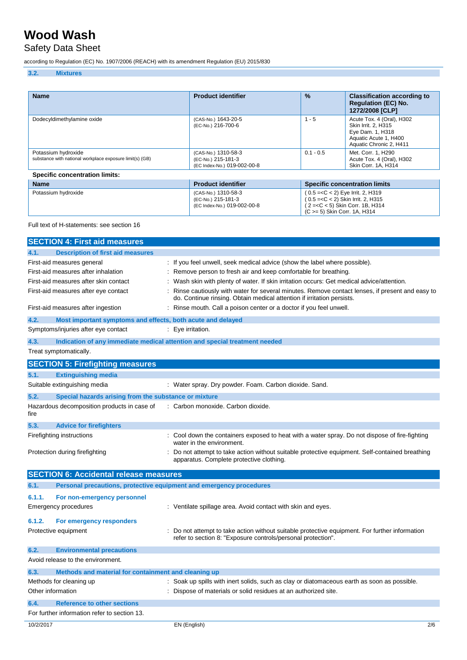# Safety Data Sheet

according to Regulation (EC) No. 1907/2006 (REACH) with its amendment Regulation (EU) 2015/830

### **3.2. Mixtures**

| <b>Name</b>                                                                     | <b>Product identifier</b>                                                | $\frac{9}{6}$                                                                                                                              | <b>Classification according to</b><br><b>Regulation (EC) No.</b><br>1272/2008 [CLP]                                      |  |  |
|---------------------------------------------------------------------------------|--------------------------------------------------------------------------|--------------------------------------------------------------------------------------------------------------------------------------------|--------------------------------------------------------------------------------------------------------------------------|--|--|
| Dodecyldimethylamine oxide                                                      | (CAS-No.) 1643-20-5<br>(EC-No.) 216-700-6                                | $1 - 5$                                                                                                                                    | Acute Tox. 4 (Oral), H302<br>Skin Irrit. 2. H315<br>Eye Dam. 1, H318<br>Aquatic Acute 1, H400<br>Aquatic Chronic 2, H411 |  |  |
| Potassium hydroxide<br>substance with national workplace exposure limit(s) (GB) | (CAS-No.) 1310-58-3<br>(EC-No.) 215-181-3<br>(EC Index-No.) 019-002-00-8 | $0.1 - 0.5$                                                                                                                                | Met. Corr. 1, H290<br>Acute Tox. 4 (Oral), H302<br>Skin Corr. 1A, H314                                                   |  |  |
| <b>Specific concentration limits:</b>                                           |                                                                          |                                                                                                                                            |                                                                                                                          |  |  |
| <b>Name</b>                                                                     | <b>Product identifier</b>                                                |                                                                                                                                            | <b>Specific concentration limits</b>                                                                                     |  |  |
| Potassium hydroxide                                                             | (CAS-No.) 1310-58-3<br>(EC-No.) 215-181-3<br>(EC Index-No.) 019-002-00-8 | (0.5 = < C < 2) Eye Irrit. 2, H319<br>(0.5 = < C < 2) Skin Irrit. 2, H315<br>(2= <c 1b,="" 5)="" <="" corr.="" h314<="" skin="" td=""></c> |                                                                                                                          |  |  |

(C >= 5) Skin Corr. 1A, H314

#### Full text of H-statements: see section 16

|                   | <b>SECTION 4: First aid measures</b>                                |                                                                                                                                                                          |     |
|-------------------|---------------------------------------------------------------------|--------------------------------------------------------------------------------------------------------------------------------------------------------------------------|-----|
| 4.1.              | <b>Description of first aid measures</b>                            |                                                                                                                                                                          |     |
|                   | First-aid measures general                                          | : If you feel unwell, seek medical advice (show the label where possible).                                                                                               |     |
|                   | First-aid measures after inhalation                                 | Remove person to fresh air and keep comfortable for breathing.                                                                                                           |     |
|                   | First-aid measures after skin contact                               | Wash skin with plenty of water. If skin irritation occurs: Get medical advice/attention.                                                                                 |     |
|                   | First-aid measures after eye contact                                | Rinse cautiously with water for several minutes. Remove contact lenses, if present and easy to<br>do. Continue rinsing. Obtain medical attention if irritation persists. |     |
|                   | First-aid measures after ingestion                                  | Rinse mouth. Call a poison center or a doctor if you feel unwell.                                                                                                        |     |
| 4.2.              | Most important symptoms and effects, both acute and delayed         |                                                                                                                                                                          |     |
|                   | Symptoms/injuries after eye contact                                 | : Eye irritation.                                                                                                                                                        |     |
| 4.3.              |                                                                     | Indication of any immediate medical attention and special treatment needed                                                                                               |     |
|                   | Treat symptomatically.                                              |                                                                                                                                                                          |     |
|                   | <b>SECTION 5: Firefighting measures</b>                             |                                                                                                                                                                          |     |
| 5.1.              | <b>Extinguishing media</b>                                          |                                                                                                                                                                          |     |
|                   | Suitable extinguishing media                                        | : Water spray. Dry powder. Foam. Carbon dioxide. Sand.                                                                                                                   |     |
| 5.2.              | Special hazards arising from the substance or mixture               |                                                                                                                                                                          |     |
| fire              | Hazardous decomposition products in case of                         | : Carbon monoxide. Carbon dioxide.                                                                                                                                       |     |
| 5.3.              | <b>Advice for firefighters</b>                                      |                                                                                                                                                                          |     |
|                   | Firefighting instructions                                           | Cool down the containers exposed to heat with a water spray. Do not dispose of fire-fighting<br>water in the environment.                                                |     |
|                   | Protection during firefighting                                      | Do not attempt to take action without suitable protective equipment. Self-contained breathing<br>apparatus. Complete protective clothing.                                |     |
|                   | <b>SECTION 6: Accidental release measures</b>                       |                                                                                                                                                                          |     |
| 6.1.              | Personal precautions, protective equipment and emergency procedures |                                                                                                                                                                          |     |
| 6.1.1.            | For non-emergency personnel                                         |                                                                                                                                                                          |     |
|                   | Emergency procedures                                                | : Ventilate spillage area. Avoid contact with skin and eyes.                                                                                                             |     |
| 6.1.2.            | For emergency responders                                            |                                                                                                                                                                          |     |
|                   | Protective equipment                                                | Do not attempt to take action without suitable protective equipment. For further information<br>refer to section 8: "Exposure controls/personal protection".             |     |
| 6.2.              | <b>Environmental precautions</b>                                    |                                                                                                                                                                          |     |
|                   | Avoid release to the environment.                                   |                                                                                                                                                                          |     |
| 6.3.              | Methods and material for containment and cleaning up                |                                                                                                                                                                          |     |
|                   | Methods for cleaning up                                             | Soak up spills with inert solids, such as clay or diatomaceous earth as soon as possible.                                                                                |     |
| Other information |                                                                     | Dispose of materials or solid residues at an authorized site.                                                                                                            |     |
| 6.4.              | <b>Reference to other sections</b>                                  |                                                                                                                                                                          |     |
|                   | For further information refer to section 13.                        |                                                                                                                                                                          |     |
| 10/2/2017         |                                                                     | EN (English)                                                                                                                                                             | 2/6 |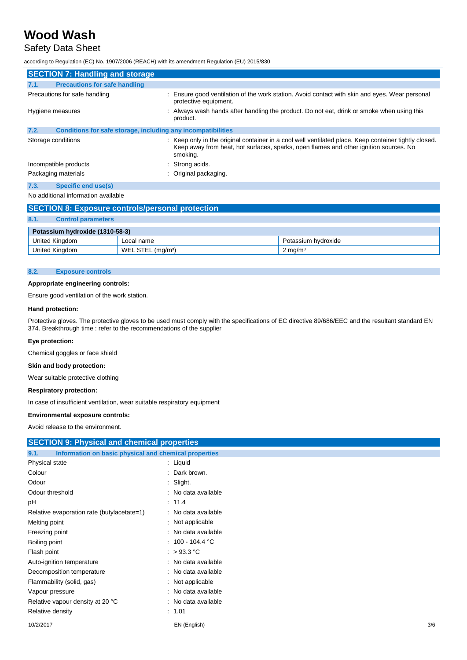## Safety Data Sheet

according to Regulation (EC) No. 1907/2006 (REACH) with its amendment Regulation (EU) 2015/830

| <b>SECTION 7: Handling and storage</b>                               |                                                                                                                                                                                                            |  |  |  |
|----------------------------------------------------------------------|------------------------------------------------------------------------------------------------------------------------------------------------------------------------------------------------------------|--|--|--|
| <b>Precautions for safe handling</b><br>7.1.                         |                                                                                                                                                                                                            |  |  |  |
| Precautions for safe handling                                        | : Ensure good ventilation of the work station. Avoid contact with skin and eyes. Wear personal<br>protective equipment.                                                                                    |  |  |  |
| Hygiene measures                                                     | Always wash hands after handling the product. Do not eat, drink or smoke when using this<br>product.                                                                                                       |  |  |  |
| 7.2.<br>Conditions for safe storage, including any incompatibilities |                                                                                                                                                                                                            |  |  |  |
| Storage conditions                                                   | : Keep only in the original container in a cool well ventilated place. Keep container tightly closed.<br>Keep away from heat, hot surfaces, sparks, open flames and other ignition sources. No<br>smoking. |  |  |  |
| Incompatible products                                                | : Strong acids.                                                                                                                                                                                            |  |  |  |
| Packaging materials                                                  | : Original packaging.                                                                                                                                                                                      |  |  |  |
| Specific end use(s)<br>7.3.                                          |                                                                                                                                                                                                            |  |  |  |
|                                                                      |                                                                                                                                                                                                            |  |  |  |

#### No additional information available

| <b>SECTION 8: Exposure controls/personal protection</b> |  |                    |  |  |  |
|---------------------------------------------------------|--|--------------------|--|--|--|
| 8.1.<br><b>Control parameters</b>                       |  |                    |  |  |  |
| Potassium hydroxide (1310-58-3)                         |  |                    |  |  |  |
| United Kingdom<br>Potassium hydroxide<br>Local name     |  |                    |  |  |  |
| United Kingdom<br>WEL STEL (mg/m <sup>3</sup> )         |  | $2 \text{ mg/m}^3$ |  |  |  |

#### **8.2. Exposure controls**

#### **Appropriate engineering controls:**

Ensure good ventilation of the work station.

#### **Hand protection:**

Protective gloves. The protective gloves to be used must comply with the specifications of EC directive 89/686/EEC and the resultant standard EN 374. Breakthrough time : refer to the recommendations of the supplier

#### **Eye protection:**

Chemical goggles or face shield

#### **Skin and body protection:**

Wear suitable protective clothing

#### **Respiratory protection:**

In case of insufficient ventilation, wear suitable respiratory equipment

#### **Environmental exposure controls:**

Avoid release to the environment.

| <b>SECTION 9: Physical and chemical properties</b>            |                        |     |  |  |
|---------------------------------------------------------------|------------------------|-----|--|--|
| Information on basic physical and chemical properties<br>9.1. |                        |     |  |  |
| Physical state                                                | : Liquid               |     |  |  |
| Colour                                                        | Dark brown.            |     |  |  |
| Odour                                                         | : Slight.              |     |  |  |
| Odour threshold                                               | : No data available    |     |  |  |
| рH                                                            | : 11.4                 |     |  |  |
| Relative evaporation rate (butylacetate=1)                    | : No data available    |     |  |  |
| Melting point                                                 | : Not applicable       |     |  |  |
| Freezing point                                                | : No data available    |     |  |  |
| Boiling point                                                 | $: 100 - 104.4 °C$     |     |  |  |
| Flash point                                                   | : $>93.3$ °C           |     |  |  |
| Auto-ignition temperature                                     | : No data available    |     |  |  |
| Decomposition temperature                                     | : No data available    |     |  |  |
| Flammability (solid, gas)                                     | : Not applicable       |     |  |  |
| Vapour pressure                                               | No data available<br>÷ |     |  |  |
| Relative vapour density at 20 °C                              | : No data available    |     |  |  |
| Relative density                                              | : 1.01                 |     |  |  |
| 10/2/2017                                                     | EN (English)           | 3/6 |  |  |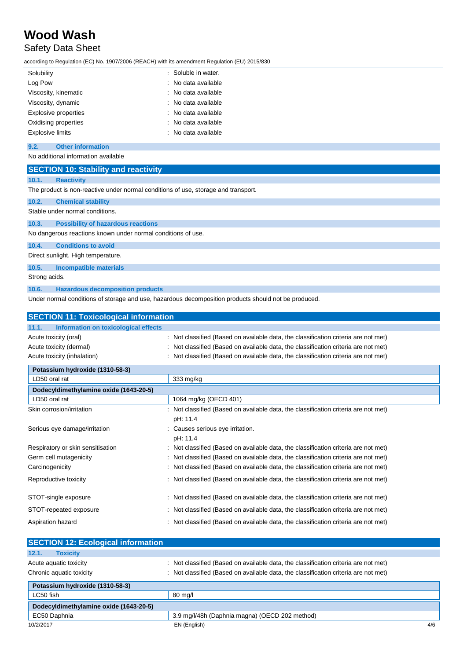# Safety Data Sheet

according to Regulation (EC) No. 1907/2006 (REACH) with its amendment Regulation (EU) 2015/830

| Solubility              | : Soluble in water. |
|-------------------------|---------------------|
| Log Pow                 | : No data available |
| Viscosity, kinematic    | : No data available |
| Viscosity, dynamic      | : No data available |
| Explosive properties    | : No data available |
| Oxidising properties    | : No data available |
| <b>Explosive limits</b> | : No data available |

#### **9.2. Other information**

| No additional information available |                                                                                    |  |  |  |  |
|-------------------------------------|------------------------------------------------------------------------------------|--|--|--|--|
|                                     | <b>SECTION 10: Stability and reactivity</b>                                        |  |  |  |  |
| 10.1.                               | <b>Reactivity</b>                                                                  |  |  |  |  |
|                                     | The product is non-reactive under normal conditions of use, storage and transport. |  |  |  |  |
| 10.2.                               | <b>Chemical stability</b>                                                          |  |  |  |  |
|                                     | Stable under normal conditions.                                                    |  |  |  |  |
| 10.3.                               | <b>Possibility of hazardous reactions</b>                                          |  |  |  |  |
|                                     | No dangerous reactions known under normal conditions of use.                       |  |  |  |  |
| 10.4.                               | <b>Conditions to avoid</b>                                                         |  |  |  |  |
|                                     | Direct sunlight. High temperature.                                                 |  |  |  |  |
| 10.5.                               | <b>Incompatible materials</b>                                                      |  |  |  |  |
| Strong acids.                       |                                                                                    |  |  |  |  |
|                                     |                                                                                    |  |  |  |  |

#### **10.6. Hazardous decomposition products**

Under normal conditions of storage and use, hazardous decomposition products should not be produced.

| <b>SECTION 11: Toxicological information</b>                                    |                                                                                                                                                                                                                                                                   |  |  |  |  |
|---------------------------------------------------------------------------------|-------------------------------------------------------------------------------------------------------------------------------------------------------------------------------------------------------------------------------------------------------------------|--|--|--|--|
| Information on toxicological effects<br>11.1.                                   |                                                                                                                                                                                                                                                                   |  |  |  |  |
| Acute toxicity (oral)<br>Acute toxicity (dermal)<br>Acute toxicity (inhalation) | : Not classified (Based on available data, the classification criteria are not met)<br>: Not classified (Based on available data, the classification criteria are not met)<br>: Not classified (Based on available data, the classification criteria are not met) |  |  |  |  |
| Potassium hydroxide (1310-58-3)                                                 |                                                                                                                                                                                                                                                                   |  |  |  |  |
| LD50 oral rat                                                                   | 333 mg/kg                                                                                                                                                                                                                                                         |  |  |  |  |
| Dodecyldimethylamine oxide (1643-20-5)                                          |                                                                                                                                                                                                                                                                   |  |  |  |  |
| LD50 oral rat                                                                   | 1064 mg/kg (OECD 401)                                                                                                                                                                                                                                             |  |  |  |  |
| Skin corrosion/irritation                                                       | : Not classified (Based on available data, the classification criteria are not met)<br>pH: 11.4                                                                                                                                                                   |  |  |  |  |
| Serious eye damage/irritation                                                   | : Causes serious eye irritation.<br>pH: 11.4                                                                                                                                                                                                                      |  |  |  |  |
| Respiratory or skin sensitisation                                               | : Not classified (Based on available data, the classification criteria are not met)                                                                                                                                                                               |  |  |  |  |
| Germ cell mutagenicity                                                          | : Not classified (Based on available data, the classification criteria are not met)                                                                                                                                                                               |  |  |  |  |
| Carcinogenicity                                                                 | : Not classified (Based on available data, the classification criteria are not met)                                                                                                                                                                               |  |  |  |  |
| Reproductive toxicity                                                           | : Not classified (Based on available data, the classification criteria are not met)                                                                                                                                                                               |  |  |  |  |
| STOT-single exposure                                                            | : Not classified (Based on available data, the classification criteria are not met)                                                                                                                                                                               |  |  |  |  |
| STOT-repeated exposure                                                          | : Not classified (Based on available data, the classification criteria are not met)                                                                                                                                                                               |  |  |  |  |
| Aspiration hazard                                                               | : Not classified (Based on available data, the classification criteria are not met)                                                                                                                                                                               |  |  |  |  |

| <b>SECTION 12: Ecological information</b>          |                                                                                                                                                                            |     |
|----------------------------------------------------|----------------------------------------------------------------------------------------------------------------------------------------------------------------------------|-----|
| 12.1.<br><b>Toxicity</b>                           |                                                                                                                                                                            |     |
| Acute aquatic toxicity<br>Chronic aquatic toxicity | : Not classified (Based on available data, the classification criteria are not met)<br>: Not classified (Based on available data, the classification criteria are not met) |     |
| Potassium hydroxide (1310-58-3)                    |                                                                                                                                                                            |     |
| LC50 fish                                          | 80 mg/l                                                                                                                                                                    |     |
| Dodecyldimethylamine oxide (1643-20-5)             |                                                                                                                                                                            |     |
| EC50 Daphnia                                       | 3.9 mg/l/48h (Daphnia magna) (OECD 202 method)                                                                                                                             |     |
| 10/2/2017                                          | EN (English)                                                                                                                                                               | 4/6 |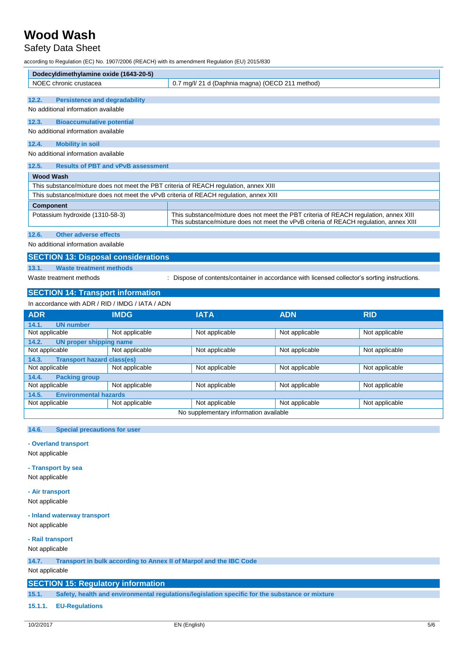## Safety Data Sheet

according to Regulation (EC) No. 1907/2006 (REACH) with its amendment Regulation (EU) 2015/830

| Dodecyldimethylamine oxide (1643-20-5)                                                 |                                                                                                                                                                                 |  |  |  |
|----------------------------------------------------------------------------------------|---------------------------------------------------------------------------------------------------------------------------------------------------------------------------------|--|--|--|
| NOEC chronic crustacea                                                                 | 0.7 mg/l/ 21 d (Daphnia magna) (OECD 211 method)                                                                                                                                |  |  |  |
|                                                                                        |                                                                                                                                                                                 |  |  |  |
| <b>Persistence and degradability</b><br>12.2.                                          |                                                                                                                                                                                 |  |  |  |
| No additional information available                                                    |                                                                                                                                                                                 |  |  |  |
| <b>Bioaccumulative potential</b><br>12.3.                                              |                                                                                                                                                                                 |  |  |  |
| No additional information available                                                    |                                                                                                                                                                                 |  |  |  |
| <b>Mobility in soil</b><br>12.4.                                                       |                                                                                                                                                                                 |  |  |  |
| No additional information available                                                    |                                                                                                                                                                                 |  |  |  |
| <b>Results of PBT and vPvB assessment</b><br>12.5.                                     |                                                                                                                                                                                 |  |  |  |
| <b>Wood Wash</b>                                                                       |                                                                                                                                                                                 |  |  |  |
| This substance/mixture does not meet the PBT criteria of REACH regulation, annex XIII  |                                                                                                                                                                                 |  |  |  |
| This substance/mixture does not meet the vPvB criteria of REACH regulation, annex XIII |                                                                                                                                                                                 |  |  |  |
| <b>Component</b>                                                                       |                                                                                                                                                                                 |  |  |  |
| Potassium hydroxide (1310-58-3)                                                        | This substance/mixture does not meet the PBT criteria of REACH regulation, annex XIII<br>This substance/mixture does not meet the vPvB criteria of REACH regulation, annex XIII |  |  |  |
| Other adverse effects<br>12.6.                                                         |                                                                                                                                                                                 |  |  |  |
| No additional information available                                                    |                                                                                                                                                                                 |  |  |  |
| <b>SECTION 13: Disposal considerations</b>                                             |                                                                                                                                                                                 |  |  |  |
| 13.1.<br><b>Waste treatment methods</b>                                                |                                                                                                                                                                                 |  |  |  |
| Waste treatment methods                                                                | Dispose of contents/container in accordance with licensed collector's sorting instructions.                                                                                     |  |  |  |
| <b>SECTION 14: Transport information</b>                                               |                                                                                                                                                                                 |  |  |  |
| In accordance with ADR / RID / IMDG / IATA / ADN                                       |                                                                                                                                                                                 |  |  |  |

| <b>ADR</b>                                 | <b>IMDG</b>    | <b>IATA</b>    | <b>ADN</b>     | <b>RID</b>     |  |  |
|--------------------------------------------|----------------|----------------|----------------|----------------|--|--|
| <b>UN number</b><br>14.1.                  |                |                |                |                |  |  |
| Not applicable                             | Not applicable | Not applicable | Not applicable | Not applicable |  |  |
| <b>UN proper shipping name</b><br>14.2.    |                |                |                |                |  |  |
| Not applicable                             | Not applicable | Not applicable | Not applicable | Not applicable |  |  |
| <b>Transport hazard class(es)</b><br>14.3. |                |                |                |                |  |  |
| Not applicable                             | Not applicable | Not applicable | Not applicable | Not applicable |  |  |
| <b>Packing group</b><br>14.4.              |                |                |                |                |  |  |
| Not applicable                             | Not applicable | Not applicable | Not applicable | Not applicable |  |  |
| <b>Environmental hazards</b><br>14.5.      |                |                |                |                |  |  |
| Not applicable                             | Not applicable | Not applicable | Not applicable | Not applicable |  |  |
| No supplementary information available     |                |                |                |                |  |  |

#### **14.6. Special precautions for user**

#### **- Overland transport**

Not applicable

**- Transport by sea**

Not applicable

#### **- Air transport**

Not applicable

#### **- Inland waterway transport**

Not applicable

#### **- Rail transport**

#### Not applicable

**14.7. Transport in bulk according to Annex II of Marpol and the IBC Code**

#### Not applicable

#### **SECTION 15: Regulatory information**

**15.1. Safety, health and environmental regulations/legislation specific for the substance or mixture**

#### **15.1.1. EU-Regulations**